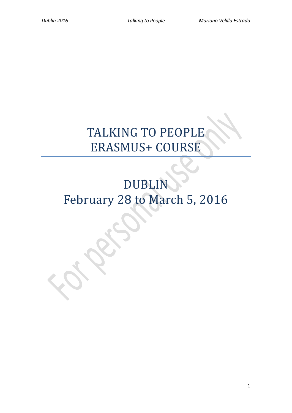# TALKING TO PEOPLE ERASMUS+ COURSE

# DUBLIN February 28 to March 5, 2016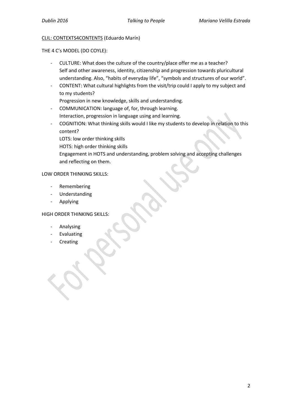## CLIL: CONTEXTS4CONTENTS (Eduardo Marín)

THE 4 C's MODEL (DO COYLE):

- CULTURE: What does the culture of the country/place offer me as a teacher? Self and other awareness, identity, citizenship and progression towards pluricultural understanding. Also, "habits of everyday life", "symbols and structures of our world".
- CONTENT: What cultural highlights from the visit/trip could I apply to my subject and to my students?

Progression in new knowledge, skills and understanding.

- COMMUNICATION: language of, for, through learning. Interaction, progression in language using and learning.
- COGNITION: What thinking skills would I like my students to develop in relation to this content?

LOTS: low order thinking skills

HOTS: high order thinking skills

Engagement in HOTS and understanding, problem solving and accepting challenges and reflecting on them.

# LOW ORDER THINKING SKILLS:

- Remembering
- **Understanding**
- **Applying**

# HIGH ORDER THINKING SKILLS:

- **Analysing**
- **Evaluating**
- **Creating**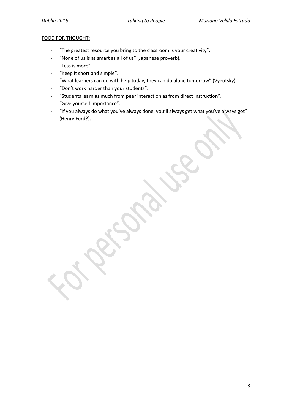## FOOD FOR THOUGHT:

- "The greatest resource you bring to the classroom is your creativity".
- "None of us is as smart as all of us" (Japanese proverb).
- "Less is more".
- "Keep it short and simple".
- "What learners can do with help today, they can do alone tomorrow" (Vygotsky).
- "Don't work harder than your students".
- "Students learn as much from peer interaction as from direct instruction".
- "Give yourself importance".
- "If you always do what you've always done, you'll always get what you've always got" (Henry Ford?).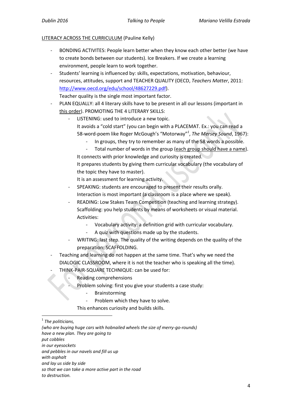## LITERACY ACROSS THE CURRICULUM (Pauline Kelly)

- BONDING ACTIVITES: People learn better when they know each other better (we have to create bonds between our students). Ice Breakers. If we create a learning environment, people learn to work together.
- Students' learning is influenced by: skills, expectations, motivation, behaviour, resources, attitudes, support and TEACHER QUALITY (OECD, *Teachers Matter*, 2011: [http://www.oecd.org/edu/school/48627229.pdf\)](http://www.oecd.org/edu/school/48627229.pdf).

Teacher quality is the single most important factor.

- PLAN EQUALLY: all 4 literary skills have to be present in all our lessons (important in this order). PROMOTING THE 4 LITERARY SKILLS:
	- LISTENING: used to introduce a new topic. It avoids a "cold start" (you can begin with a PLACEMAT. Ex.: you can read a 58-word-poem like Roger McGough's "Motorway" *1* , *The Mersey Sound*, 1967):
		- In groups, they try to remember as many of the 58 words a possible.
		- Total number of words in the group (each group should have a name). It connects with prior knowledge and curiosity is created.
		- It prepares students by giving them curricular vocabulary (the vocabulary of the topic they have to master).

It is an assessment for learning activity.

- SPEAKING: students are encouraged to present their results orally. Interaction is most important (a classroom is a place where we speak).
- READING: Low Stakes Team Competition (teaching and learning strategy). Scaffolding: you help students by means of worksheets or visual material. Activities:
	- Vocabulary activity: a definition grid with curricular vocabulary.
	- A quiz with questions made up by the students.
- WRITING: last step. The quality of the writing depends on the quality of the preparation: SCAFFOLDING.
- Teaching and learning do not happen at the same time. That's why we need the DIALOGIC CLASSROOM, where it is not the teacher who is speaking all the time).
- THINK-PAIR-SQUARE TECHNIQUE: can be used for:
	- Reading comprehensions
	- Problem solving: first you give your students a case study:
		- **Brainstorming**
		- Problem which they have to solve.

This enhances curiosity and builds skills.

**.** 

*(who are buying huge cars with hobnailed wheels the size of merry-go-rounds) have a new plan. They are going to put cobbles in our eyesockets and pebbles in our navels and fill us up with asphalt and lay us side by side so that we can take a more active part in the road to destruction.*

<sup>1</sup> *The politicians,*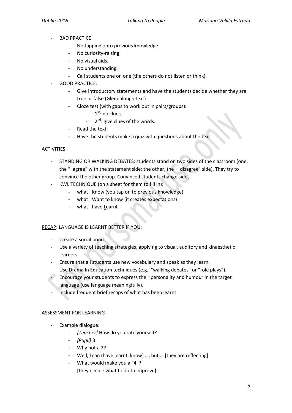- BAD PRACTICE:
	- No tapping onto previous knowledge.
	- No curiosity-raising.
	- No visual aids.
	- No understanding.
	- Call students one on one (the others do not listen or think).
- GOOD PRACTICE:
	- Give introductory statements and have the students decide whether they are true or false (Glendalough text).
	- Cloze test (with gaps to work out in pairs/groups):
		- 1  $1<sup>st</sup>$ : no clues.
		- 2<sup>nd</sup>: give clues of the words.
	- Read the text.
	- Have the students make a quiz with questions about the text.

## ACTIVITIES:

- STANDING OR WALKING DEBATES: students stand on two sides of the classroom (one, the "I agree" with the statement side; the other, the "I disagree" side). They try to convince the other group. Convinced students change sides.
- KWL TECHNIQUE (on a sheet for them to fill in):
	- what I Know (you tap on to previous knowledge)
	- what I Want to know (it creates expectations)
	- what I have Learnt

#### RECAP: LANGUAGE IS LEARNT BETTER IF YOU:

- Create a social bond
- Use a variety of teaching strategies, applying to visual, auditory and kinaesthetic learners.
- Ensure that all students use new vocabulary and speak as they learn.
- Use Drama In Education techniques (e.g., "walking debates" or "role plays").
- Encourage your students to express their personality and humour in the target language (use language meaningfully).
- Include frequent brief recaps of what has been learnt.

# ASSESSMENT FOR LEARNING

- Example dialogue:
	- *[Teacher]* How do you rate yourself?
	- *[Pupil]* 3
	- Why not a 2?
	- Well, I can (have learnt, know) ..., but ... [they are reflecting]
	- What would make you a "4"?
	- [they decide what to do to improve].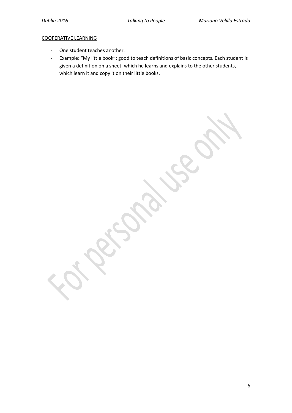## COOPERATIVE LEARNING

- One student teaches another.
- Example: "My little book": good to teach definitions of basic concepts. Each student is given a definition on a sheet, which he learns and explains to the other students, which learn it and copy it on their little books.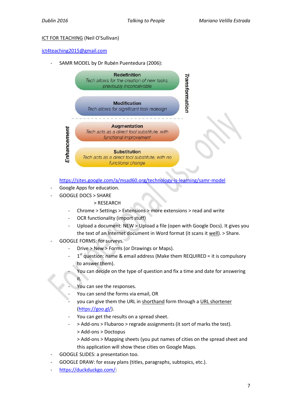# ICT FOR TEACHING (Neil O'Sullivan)

## [ict4teaching2015@gmail.com](mailto:ict4teaching2015@gmail.com)

SAMR MODEL by Dr Rubén Puentedura (2006):



<https://sites.google.com/a/msad60.org/technology-is-learning/samr-model>

- Google Apps for education.
- GOOGLE DOCS > SHARE

# > RESEARCH

- Chrome > Settings > Extensions > more extensions > read and write
- OCR functionality (import stuff)
- Upload a document: NEW > Upload a file (open with Google Docs). It gives you the text of an Internet document in Word format (it scans it well). > Share.
- GOOGLE FORMS: for surveys.
	- Drive > New > Forms (or Drawings or Maps).
	- $-1$ <sup>st</sup> question: name & email address (Make them REQUIRED = it is compulsory to answer them).
		- You can decide on the type of question and fix a time and date for answering it.
	- You can see the responses.
	- You can send the forms via email, OR
	- you can give them the URL in shorthand form through a URL shortener [\(https://goo.gl/\)](https://goo.gl/).
	- You can get the results on a spread sheet.
	- > Add-ons > Flubaroo > regrade assignments (it sort of marks the test).
		- > Add-ons > Doctopus
		- > Add-ons > Mapping sheets (you put names of cities on the spread sheet and this application will show these cities on Google Maps.
- GOOGLE SLIDES: a presentation too.
- GOOGLE DRAW: for essay plans (titles, paragraphs, subtopics, etc.).
- [https://duckduckgo.com/:](https://duckduckgo.com/)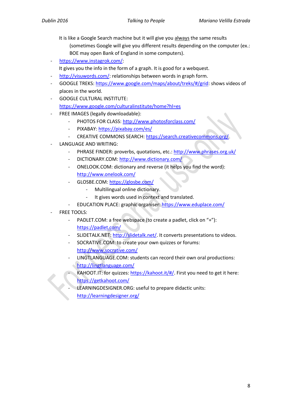- It is like a Google Search machine but it will give you always the same results (sometimes Google will give you different results depending on the computer (ex.: BOE may open Bank of England in some computers).
- [https://www.instagrok.com/:](https://www.instagrok.com/)
- It gives you the info in the form of a graph. It is good for a webquest.
- [http://visuwords.com/:](http://visuwords.com/) relationships between words in graph form.
- GOOGLE TREKS: [https://www.google.com/maps/about/treks/#/grid:](https://www.google.com/maps/about/treks/#/grid) shows videos of places in the world.
- GOOGLE CULTURAL INSTITUTE: <https://www.google.com/culturalinstitute/home?hl=es>
- FREE IMAGES (legally downloadable):
	- PHOTOS FOR CLASS:<http://www.photosforclass.com/>
	- PIXABAY[: https://pixabay.com/es/](https://pixabay.com/es/)
	- CREATIVE COMMONS SEARCH[: https://search.creativecommons.org/](https://search.creativecommons.org/)
- LANGUAGE AND WRITING:
	- PHRASE FINDER: proverbs, quotations, etc.:<http://www.phrases.org.uk/>
	- DICTIONARY.COM[: http://www.dictionary.com/](http://www.dictionary.com/)
	- ONELOOK.COM: dictionary and reverse (it helps you find the word): <http://www.onelook.com/>
	- GLOSBE.COM: <https://glosbe.com/>
		- Multilingual online dictionary.
		- It gives words used in context and translated.
	- EDUCATION PLACE: graphic organiser:<https://www.eduplace.com/>
- FREE TOOLS:
	- PADLET.COM: a free webspace (to create a padlet, click on "+"): <https://padlet.com/>
	- SLIDETALK.NET[: http://slidetalk.net/.](http://slidetalk.net/) It converts presentations to videos.
	- SOCRATIVE.COM: to create your own quizzes or forums: <http://www.socrative.com/>
	- LINGTLANGUAGE.COM: students can record their own oral productions: <http://lingtlanguage.com/>
		- KAHOOT.IT: for quizzes[: https://kahoot.it/#/.](https://kahoot.it/#/) First you need to get it here: <https://getkahoot.com/>
		- LEARNINGDESIGNER.ORG: useful to prepare didactic units:
		- <http://learningdesigner.org/>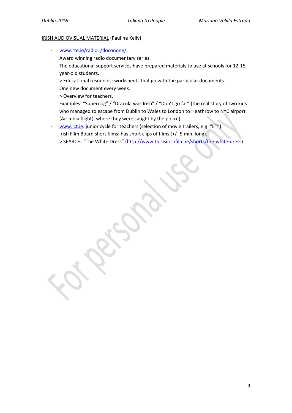#### IRISH AUDIOVISUAL MATERIAL (Pauline Kelly)

[www.rte.ie/radio1/doconone/](http://www.rte.ie/radio1/doconone/)

Award winning radio documentary series.

The educational support services have prepared materials to use at schools for 12-15 year-old students.

> Educational resources: worksheets that go with the particular documents. One new document every week.

> Overview for teachers.

Examples: "Superdog" / "Dracula was Irish" / "Don't go far" (the real story of two kids who managed to escape from Dublin to Wales to London to Heathrow to NYC airport (Air India flight), where they were caught by the police).

- [www.jct.ie:](http://www.jct.ie/) junior cycle for teachers (selection of movie trailers, e.g. "ET").
- Irish Film Board short films: has short clips of films (+/- 5 min. long). > SEARCH: "The White Dress" [\(http://www.thisisirishfilm.ie/shorts/the-white-dress\)](http://www.thisisirishfilm.ie/shorts/the-white-dress).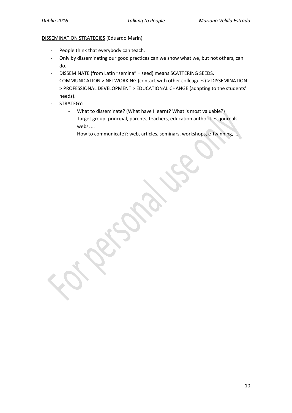#### DISSEMINATION STRATEGIES (Eduardo Marín)

- People think that everybody can teach.
- Only by disseminating our good practices can we show what we, but not others, can do.
- DISSEMINATE (from Latin "semina" = seed) means SCATTERING SEEDS.
- COMMUNICATION > NETWORKING (contact with other colleagues) > DISSEMINATION > PROFESSIONAL DEVELOPMENT > EDUCATIONAL CHANGE (adapting to the students' needs).
- STRATEGY:
	- What to disseminate? (What have I learnt? What is most valuable?)
	- Target group: principal, parents, teachers, education authorities, journals, webs, …
	- How to communicate?: web, articles, seminars, workshops, e-twinning, …